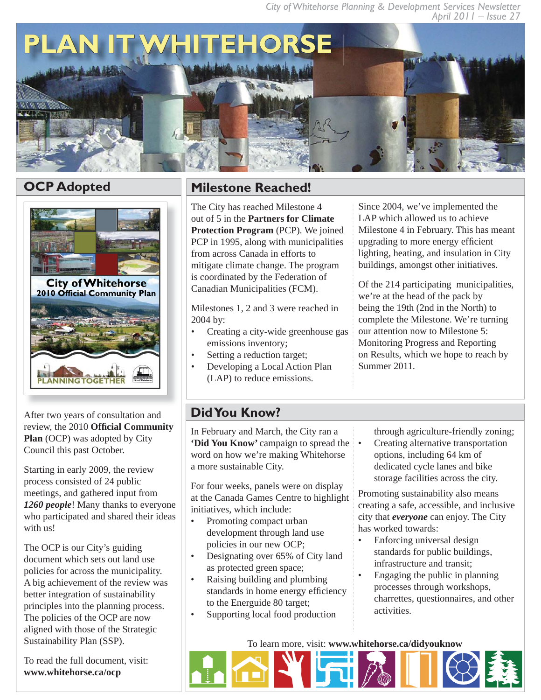



After two years of consultation and review, the 2010 **Official Community Plan** (OCP) was adopted by City Council this past October.

Starting in early 2009, the review process consisted of 24 public meetings, and gathered input from *1260 people*! Many thanks to everyone who participated and shared their ideas with us!

The OCP is our City's guiding document which sets out land use policies for across the municipality. A big achievement of the review was better integration of sustainability principles into the planning process. The policies of the OCP are now aligned with those of the Strategic Sustainability Plan (SSP).

To read the full document, visit: **www.whitehorse.ca/ocp**

# **OCP Adopted Milestone Reached!**

The City has reached Milestone 4 out of 5 in the **Partners for Climate Protection Program** (PCP). We joined PCP in 1995, along with municipalities from across Canada in efforts to mitigate climate change. The program is coordinated by the Federation of Canadian Municipalities (FCM).

Milestones 1, 2 and 3 were reached in 2004 by:

- Creating a city-wide greenhouse gas emissions inventory; •
- Setting a reduction target; •
- Developing a Local Action Plan (LAP) to reduce emissions. •

Since 2004, we've implemented the LAP which allowed us to achieve Milestone 4 in February. This has meant upgrading to more energy efficient lighting, heating, and insulation in City buildings, amongst other initiatives.

Of the 214 participating municipalities, we're at the head of the pack by being the 19th (2nd in the North) to complete the Milestone. We're turning our attention now to Milestone 5: Monitoring Progress and Reporting on Results, which we hope to reach by Summer 2011.

# **Did You Know?**

In February and March, the City ran a **'Did You Know'** campaign to spread the word on how we're making Whitehorse a more sustainable City.

For four weeks, panels were on display at the Canada Games Centre to highlight initiatives, which include:

- Promoting compact urban development through land use policies in our new OCP; •
- Designating over 65% of City land as protected green space; •
- Raising building and plumbing standards in home energy efficiency to the Energuide 80 target; •
- Supporting local food production •

through agriculture-friendly zoning;

Creating alternative transportation options, including 64 km of dedicated cycle lanes and bike storage facilities across the city. •

Promoting sustainability also means creating a safe, accessible, and inclusive city that *everyone* can enjoy. The City has worked towards:

- Enforcing universal design standards for public buildings, infrastructure and transit; •
- Engaging the public in planning processes through workshops, charrettes, questionnaires, and other activities. •

To learn more, visit: **www.whitehorse.ca/didyouknow**